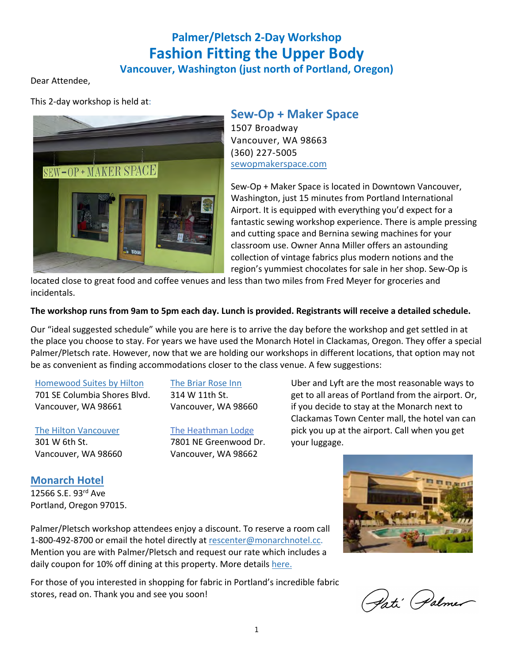# **Palmer/Pletsch 2-Day Workshop Fashion Fitting the Upper Body**

## **Vancouver, Washington (just north of Portland, Oregon)**

Dear Attendee,

This 2-day workshop is held at:



## **Sew-Op + Maker Space**

1507 Broadway Vancouver, WA 98663 (360) 227-5005 sewopmakerspace.com

Sew-Op + Maker Space is located in Downtown Vancouver, Washington, just 15 minutes from Portland International Airport. It is equipped with everything you'd expect for a fantastic sewing workshop experience. There is ample pressing and cutting space and Bernina sewing machines for your classroom use. Owner Anna Miller offers an astounding collection of vintage fabrics plus modern notions and the region's yummiest chocolates for sale in her shop. Sew-Op is

located close to great food and coffee venues and less than two miles from Fred Meyer for groceries and incidentals.

#### **The workshop runs from 9am to 5pm each day. Lunch is provided. Registrants will receive a detailed schedule.**

Our "ideal suggested schedule" while you are here is to arrive the day before the workshop and get settled in at the place you choose to stay. For years we have used the Monarch Hotel in Clackamas, Oregon. They offer a special Palmer/Pletsch rate. However, now that we are holding our workshops in different locations, that option may not be as convenient as finding accommodations closer to the class venue. A few suggestions:

#### Homewood Suites by Hilton

701 SE Columbia Shores Blvd. Vancouver, WA 98661

### The Hilton Vancouver 301 W 6th St. Vancouver, WA 98660

The Briar Rose Inn 314 W 11th St. Vancouver, WA 98660

The Heathman Lodge 7801 NE Greenwood Dr. Vancouver, WA 98662

Uber and Lyft are the most reasonable ways to get to all areas of Portland from the airport. Or, if you decide to stay at the Monarch next to Clackamas Town Center mall, the hotel van can pick you up at the airport. Call when you get your luggage.

#### **Monarch Hotel** 12566 S.E. 93rd Ave

Portland, Oregon 97015.

Palmer/Pletsch workshop attendees enjoy a discount. To reserve a room call 1-800-492-8700 or email the hotel directly at rescenter@monarchnotel.cc. Mention you are with Palmer/Pletsch and request our rate which includes a daily coupon for 10% off dining at this property. More details here.

For those of you interested in shopping for fabric in Portland's incredible fabric stores, read on. Thank you and see you soon!



Pati Palmer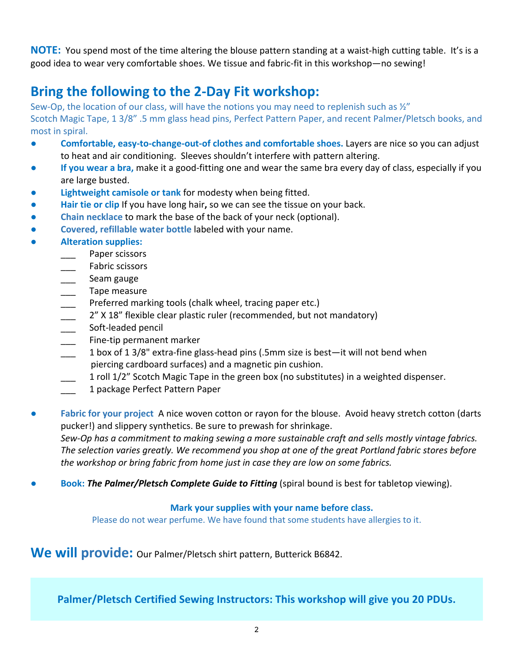**NOTE:** You spend most of the time altering the blouse pattern standing at a waist-high cutting table. It's is a good idea to wear very comfortable shoes. We tissue and fabric-fit in this workshop—no sewing!

# **Bring the following to the 2-Day Fit workshop:**

Sew-Op, the location of our class, will have the notions you may need to replenish such as  $\frac{1}{2}$ " Scotch Magic Tape, 1 3/8" .5 mm glass head pins, Perfect Pattern Paper, and recent Palmer/Pletsch books, and most in spiral.

- **Comfortable, easy-to-change-out-of clothes and comfortable shoes.** Layers are nice so you can adjust to heat and air conditioning. Sleeves shouldn't interfere with pattern altering.
- **If you wear a bra,** make it a good-fitting one and wear the same bra every day of class, especially if you are large busted.
- **Lightweight camisole or tank** for modesty when being fitted.
- **● Hair tie or clip** If you have long hair**,** so we can see the tissue on your back.
	- **Chain necklace** to mark the base of the back of your neck (optional).
- **Covered, refillable water bottle** labeled with your name.
- **● Alteration supplies:**
	- Paper scissors
	- Fabric scissors
	- Seam gauge
	- \_\_\_ Tape measure
	- Preferred marking tools (chalk wheel, tracing paper etc.)
	- 2" X 18" flexible clear plastic ruler (recommended, but not mandatory)
	- \_\_\_ Soft-leaded pencil
	- Fine-tip permanent marker
	- $\frac{1}{2}$  1 box of 1 3/8" extra-fine glass-head pins (.5mm size is best—it will not bend when piercing cardboard surfaces) and a magnetic pin cushion.
	- \_\_\_ 1 roll 1/2" Scotch Magic Tape in the green box (no substitutes) in a weighted dispenser.
	- \_\_\_ 1 package Perfect Pattern Paper
- **Fabric for your project** A nice woven cotton or rayon for the blouse. Avoid heavy stretch cotton (darts pucker!) and slippery synthetics. Be sure to prewash for shrinkage. *Sew-Op has a commitment to making sewing a more sustainable craft and sells mostly vintage fabrics. The selection varies greatly. We recommend you shop at one of the great Portland fabric stores before the workshop or bring fabric from home just in case they are low on some fabrics.*
- **Book: The Palmer/Pletsch Complete Guide to Fitting** (spiral bound is best for tabletop viewing).

### **Mark your supplies with your name before class.**

Please do not wear perfume. We have found that some students have allergies to it.

We will provide: Our Palmer/Pletsch shirt pattern, Butterick B6842.

**Palmer/Pletsch Certified Sewing Instructors: This workshop will give you 20 PDUs.**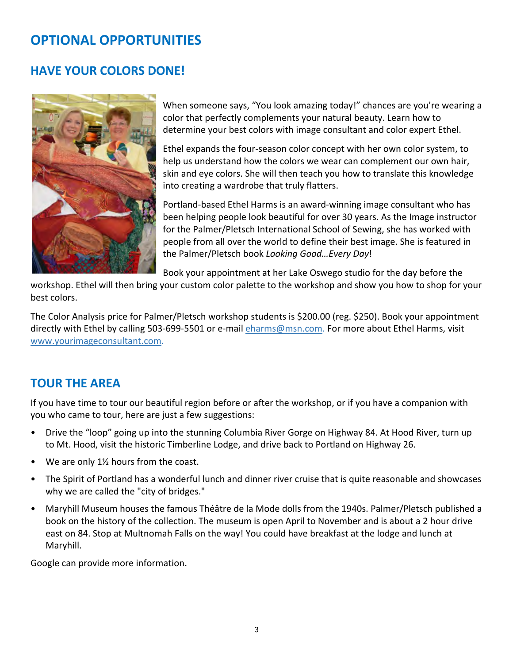# **OPTIONAL OPPORTUNITIES**

# **HAVE YOUR COLORS DONE!**



When someone says, "You look amazing today!" chances are you're wearing a color that perfectly complements your natural beauty. Learn how to determine your best colors with image consultant and color expert Ethel.

Ethel expands the four-season color concept with her own color system, to help us understand how the colors we wear can complement our own hair, skin and eye colors. She will then teach you how to translate this knowledge into creating a wardrobe that truly flatters.

Portland-based Ethel Harms is an award-winning image consultant who has been helping people look beautiful for over 30 years. As the Image instructor for the Palmer/Pletsch International School of Sewing, she has worked with people from all over the world to define their best image. She is featured in the Palmer/Pletsch book *Looking Good…Every Day*!

Book your appointment at her Lake Oswego studio for the day before the

workshop. Ethel will then bring your custom color palette to the workshop and show you how to shop for your best colors.

The Color Analysis price for Palmer/Pletsch workshop students is \$200.00 (reg. \$250). Book your appointment directly with Ethel by calling 503-699-5501 or e-mail eharms@msn.com. For more about Ethel Harms, visit www.yourimageconsultant.com.

# **TOUR THE AREA**

If you have time to tour our beautiful region before or after the workshop, or if you have a companion with you who came to tour, here are just a few suggestions:

- Drive the "loop" going up into the stunning Columbia River Gorge on Highway 84. At Hood River, turn up to Mt. Hood, visit the historic Timberline Lodge, and drive back to Portland on Highway 26.
- We are only 1½ hours from the coast.
- The Spirit of Portland has a wonderful lunch and dinner river cruise that is quite reasonable and showcases why we are called the "city of bridges."
- Maryhill Museum houses the famous Théâtre de la Mode dolls from the 1940s. Palmer/Pletsch published a book on the history of the collection. The museum is open April to November and is about a 2 hour drive east on 84. Stop at Multnomah Falls on the way! You could have breakfast at the lodge and lunch at Maryhill.

Google can provide more information.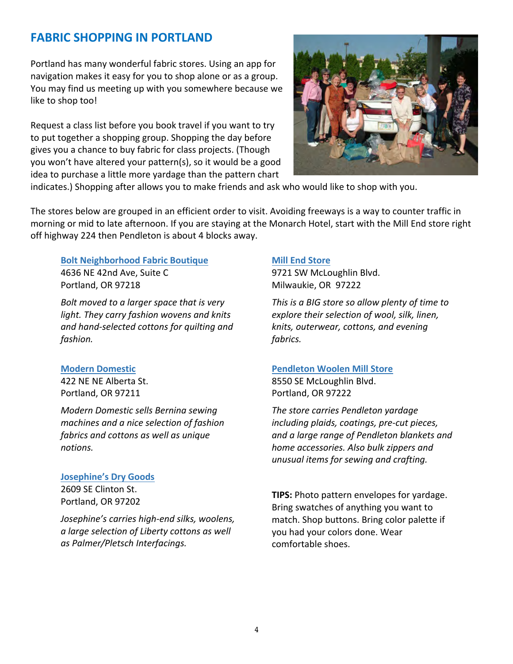# **FABRIC SHOPPING IN PORTLAND**

Portland has many wonderful fabric stores. Using an app for navigation makes it easy for you to shop alone or as a group. You may find us meeting up with you somewhere because we like to shop too!

Request a class list before you book travel if you want to try to put together a shopping group. Shopping the day before gives you a chance to buy fabric for class projects. (Though you won't have altered your pattern(s), so it would be a good idea to purchase a little more yardage than the pattern chart



indicates.) Shopping after allows you to make friends and ask who would like to shop with you.

The stores below are grouped in an efficient order to visit. Avoiding freeways is a way to counter traffic in morning or mid to late afternoon. If you are staying at the Monarch Hotel, start with the Mill End store right off highway 224 then Pendleton is about 4 blocks away.

## **Bolt Neighborhood Fabric Boutique** 4636 NE 42nd Ave, Suite C

Portland, OR 97218

*Bolt moved to a larger space that is very light. They carry fashion wovens and knits and hand-selected cottons for quilting and fashion.*

### **Modern Domestic**

422 NE NE Alberta St. Portland, OR 97211

*Modern Domestic sells Bernina sewing machines and a nice selection of fashion fabrics and cottons as well as unique notions.* 

#### **Josephine's Dry Goods**

2609 SE Clinton St. Portland, OR 97202

*Josephine's carries high-end silks, woolens, a large selection of Liberty cottons as well as Palmer/Pletsch Interfacings.*

#### **Mill End Store**

9721 SW McLoughlin Blvd. Milwaukie, OR 97222

*This is a BIG store so allow plenty of time to explore their selection of wool, silk, linen, knits, outerwear, cottons, and evening fabrics.*

#### **Pendleton Woolen Mill Store**

8550 SE McLoughlin Blvd. Portland, OR 97222

*The store carries Pendleton yardage including plaids, coatings, pre-cut pieces, and a large range of Pendleton blankets and home accessories. Also bulk zippers and unusual items for sewing and crafting.*

**TIPS:** Photo pattern envelopes for yardage. Bring swatches of anything you want to match. Shop buttons. Bring color palette if you had your colors done. Wear comfortable shoes.